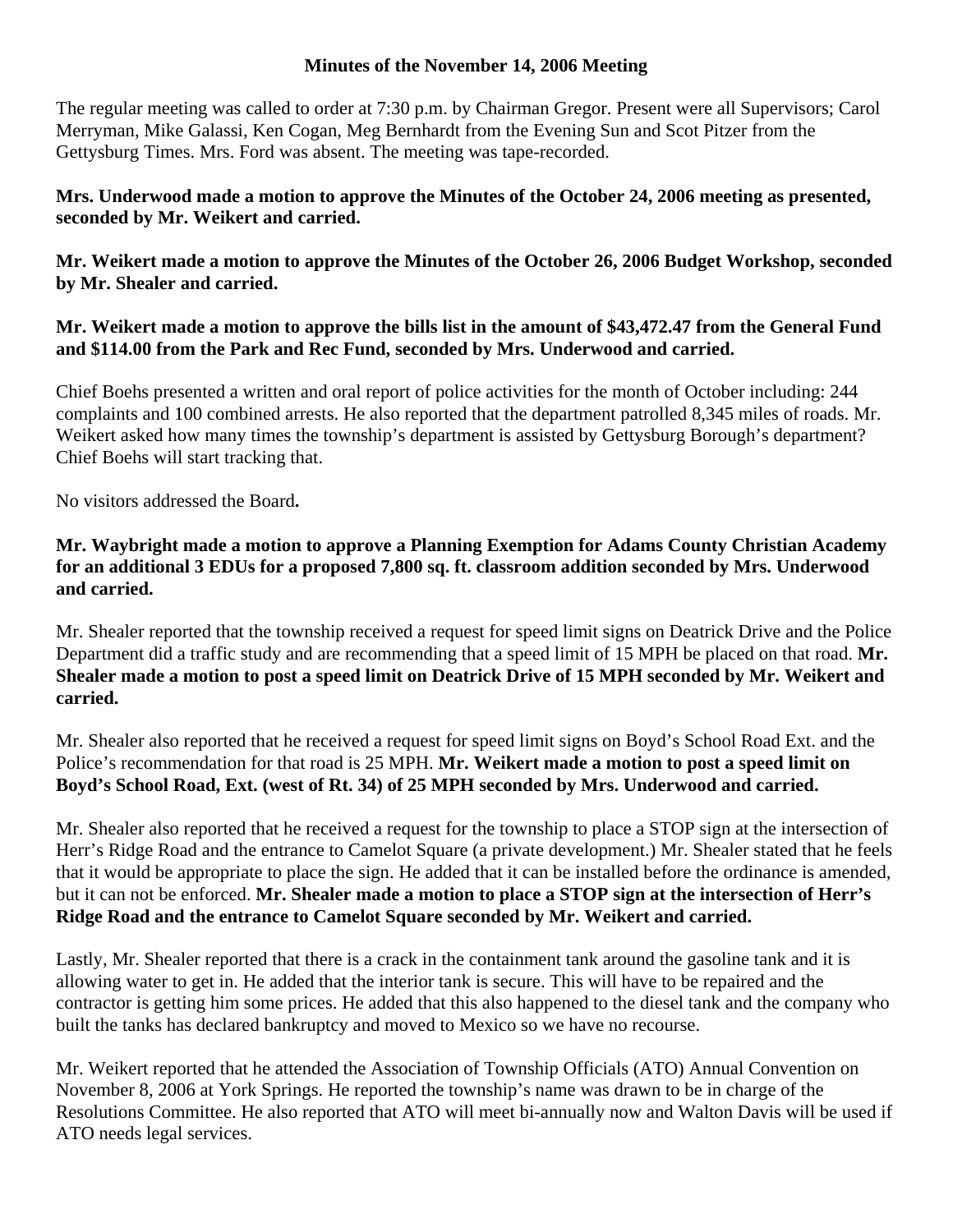## **Minutes of the November 14, 2006 Meeting**

The regular meeting was called to order at 7:30 p.m. by Chairman Gregor. Present were all Supervisors; Carol Merryman, Mike Galassi, Ken Cogan, Meg Bernhardt from the Evening Sun and Scot Pitzer from the Gettysburg Times. Mrs. Ford was absent. The meeting was tape-recorded.

## **Mrs. Underwood made a motion to approve the Minutes of the October 24, 2006 meeting as presented, seconded by Mr. Weikert and carried.**

**Mr. Weikert made a motion to approve the Minutes of the October 26, 2006 Budget Workshop, seconded by Mr. Shealer and carried.** 

## **Mr. Weikert made a motion to approve the bills list in the amount of \$43,472.47 from the General Fund and \$114.00 from the Park and Rec Fund, seconded by Mrs. Underwood and carried.**

Chief Boehs presented a written and oral report of police activities for the month of October including: 244 complaints and 100 combined arrests. He also reported that the department patrolled 8,345 miles of roads. Mr. Weikert asked how many times the township's department is assisted by Gettysburg Borough's department? Chief Boehs will start tracking that.

No visitors addressed the Board**.** 

## **Mr. Waybright made a motion to approve a Planning Exemption for Adams County Christian Academy for an additional 3 EDUs for a proposed 7,800 sq. ft. classroom addition seconded by Mrs. Underwood and carried.**

Mr. Shealer reported that the township received a request for speed limit signs on Deatrick Drive and the Police Department did a traffic study and are recommending that a speed limit of 15 MPH be placed on that road. **Mr. Shealer made a motion to post a speed limit on Deatrick Drive of 15 MPH seconded by Mr. Weikert and carried.** 

Mr. Shealer also reported that he received a request for speed limit signs on Boyd's School Road Ext. and the Police's recommendation for that road is 25 MPH. **Mr. Weikert made a motion to post a speed limit on Boyd's School Road, Ext. (west of Rt. 34) of 25 MPH seconded by Mrs. Underwood and carried.** 

Mr. Shealer also reported that he received a request for the township to place a STOP sign at the intersection of Herr's Ridge Road and the entrance to Camelot Square (a private development.) Mr. Shealer stated that he feels that it would be appropriate to place the sign. He added that it can be installed before the ordinance is amended, but it can not be enforced. **Mr. Shealer made a motion to place a STOP sign at the intersection of Herr's Ridge Road and the entrance to Camelot Square seconded by Mr. Weikert and carried.** 

Lastly, Mr. Shealer reported that there is a crack in the containment tank around the gasoline tank and it is allowing water to get in. He added that the interior tank is secure. This will have to be repaired and the contractor is getting him some prices. He added that this also happened to the diesel tank and the company who built the tanks has declared bankruptcy and moved to Mexico so we have no recourse.

Mr. Weikert reported that he attended the Association of Township Officials (ATO) Annual Convention on November 8, 2006 at York Springs. He reported the township's name was drawn to be in charge of the Resolutions Committee. He also reported that ATO will meet bi-annually now and Walton Davis will be used if ATO needs legal services.